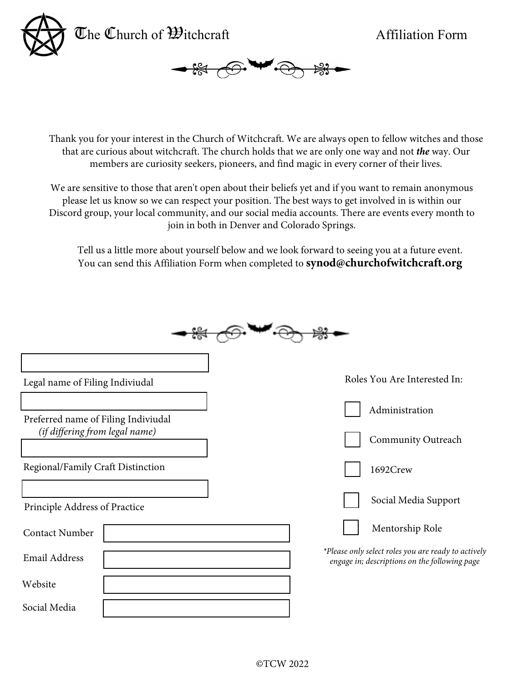



Thank you for your interest in the Church of Witchcraft. We are always open to fellow witches and those that are curious about witchcraft. The church holds that we are only one way and not *the* way. Our members are curiosity seekers, pioneers, and find magic in every corner of their lives.

We are sensitive to those that aren't open about their beliefs yet and if you want to remain anonymous please let us know so we can respect your position. The best ways to get involved in is within our Discord group, your local community, and our social media accounts. There are events every month to join in both in Denver and Colorado Springs.

Tell us a little more about yourself below and we look forward to seeing you at a future event. You can send this Affiliation Form when completed to **synod@churchofwitchcraft.org**

| Legal name of Filing Indiviudal                                       | Roles You Are Interested In:                                                                         |
|-----------------------------------------------------------------------|------------------------------------------------------------------------------------------------------|
| Preferred name of Filing Indiviudal<br>(if differing from legal name) | Administration                                                                                       |
|                                                                       | Community Outreach                                                                                   |
| Regional/Family Craft Distinction                                     | 1692Crew                                                                                             |
| Principle Address of Practice                                         | Social Media Support                                                                                 |
| <b>Contact Number</b>                                                 | Mentorship Role                                                                                      |
| <b>Email Address</b>                                                  | *Please only select roles you are ready to actively<br>engage in; descriptions on the following page |
| Website                                                               |                                                                                                      |
| Social Media                                                          |                                                                                                      |